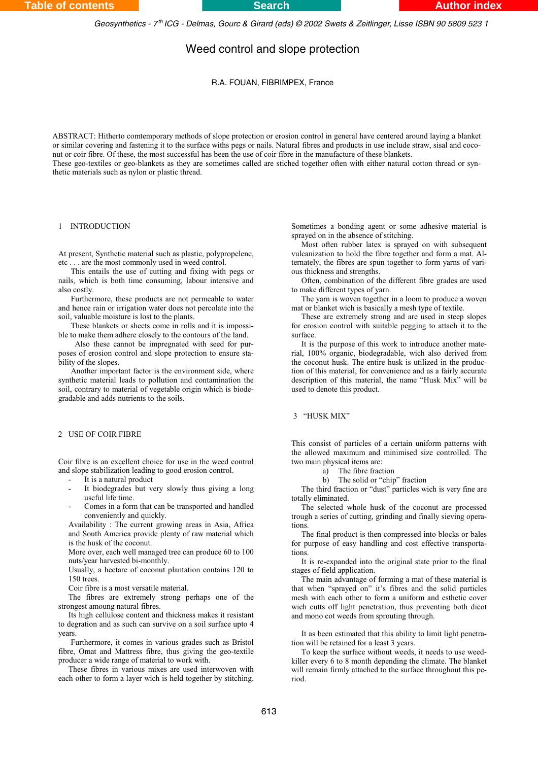*Geosynthetics - 7 ICG - Delmas, Gourc & Girard (eds) © 2002 Swets & Zeitlinger, Lisse ISBN 90 5809 523 1 th*

# Weed control and slope protection

### R.A. FOUAN, FIBRIMPEX, France

ABSTRACT: Hitherto comtemporary methods of slope protection or erosion control in general have centered around laying a blanket or similar covering and fastening it to the surface withs pegs or nails. Natural fibres and products in use include straw, sisal and coconut or coir fibre. Of these, the most successful has been the use of coir fibre in the manufacture of these blankets. These geo-textiles or geo-blankets as they are sometimes called are stiched together often with either natural cotton thread or syn-

thetic materials such as nylon or plastic thread.

### 1 INTRODUCTION

At present, Synthetic material such as plastic, polypropelene, etc . . . are the most commonly used in weed control.

This entails the use of cutting and fixing with pegs or nails, which is both time consuming, labour intensive and also costly.

Furthermore, these products are not permeable to water and hence rain or irrigation water does not percolate into the soil, valuable moisture is lost to the plants.

These blankets or sheets come in rolls and it is impossible to make them adhere closely to the contours of the land.

 Also these cannot be impregnated with seed for purposes of erosion control and slope protection to ensure stability of the slopes.

Another important factor is the environment side, where synthetic material leads to pollution and contamination the soil, contrary to material of vegetable origin which is biodegradable and adds nutrients to the soils.

## 2 USE OF COIR FIBRE

Coir fibre is an excellent choice for use in the weed control and slope stabilization leading to good erosion control.

- It is a natural product
- It biodegrades but very slowly thus giving a long useful life time.
- Comes in a form that can be transported and handled conveniently and quickly.

Availability : The current growing areas in Asia, Africa and South America provide plenty of raw material which is the husk of the coconut.

More over, each well managed tree can produce 60 to 100 nuts/year harvested bi-monthly.

Usually, a hectare of coconut plantation contains 120 to 150 trees.

Coir fibre is a most versatile material.

The fibres are extremely strong perhaps one of the strongest amoung natural fibres.

Its high cellulose content and thickness makes it resistant to degration and as such can survive on a soil surface upto 4 years.

Furthermore, it comes in various grades such as Bristol fibre, Omat and Mattress fibre, thus giving the geo-textile producer a wide range of material to work with.

These fibres in various mixes are used interwoven with each other to form a layer wich is held together by stitching. Sometimes a bonding agent or some adhesive material is sprayed on in the absence of stitching.

Most often rubber latex is sprayed on with subsequent vulcanization to hold the fibre together and form a mat. Alternately, the fibres are spun together to form yarns of various thickness and strengths.

Often, combination of the different fibre grades are used to make different types of yarn.

The yarn is woven together in a loom to produce a woven mat or blanket wich is basically a mesh type of textile.

These are extremely strong and are used in steep slopes for erosion control with suitable pegging to attach it to the surface.

It is the purpose of this work to introduce another material, 100% organic, biodegradable, wich also derived from the coconut husk. The entire husk is utilized in the production of this material, for convenience and as a fairly accurate description of this material, the name "Husk Mix" will be used to denote this product.

#### 3 "HUSK MIX"

This consist of particles of a certain uniform patterns with the allowed maximum and minimised size controlled. The two main physical items are:

a) The fibre fraction<br>b) The solid or "chip

The solid or "chip" fraction

The third fraction or "dust" particles wich is very fine are totally eliminated.

The selected whole husk of the coconut are processed trough a series of cutting, grinding and finally sieving operations.

The final product is then compressed into blocks or bales for purpose of easy handling and cost effective transportations.

It is re-expanded into the original state prior to the final stages of field application.

The main advantage of forming a mat of these material is that when "sprayed on" it's fibres and the solid particles mesh with each other to form a uniform and esthetic cover wich cutts off light penetration, thus preventing both dicot and mono cot weeds from sprouting through.

It as been estimated that this ability to limit light penetration will be retained for a least 3 years.

To keep the surface without weeds, it needs to use weedkiller every 6 to 8 month depending the climate. The blanket will remain firmly attached to the surface throughout this period.